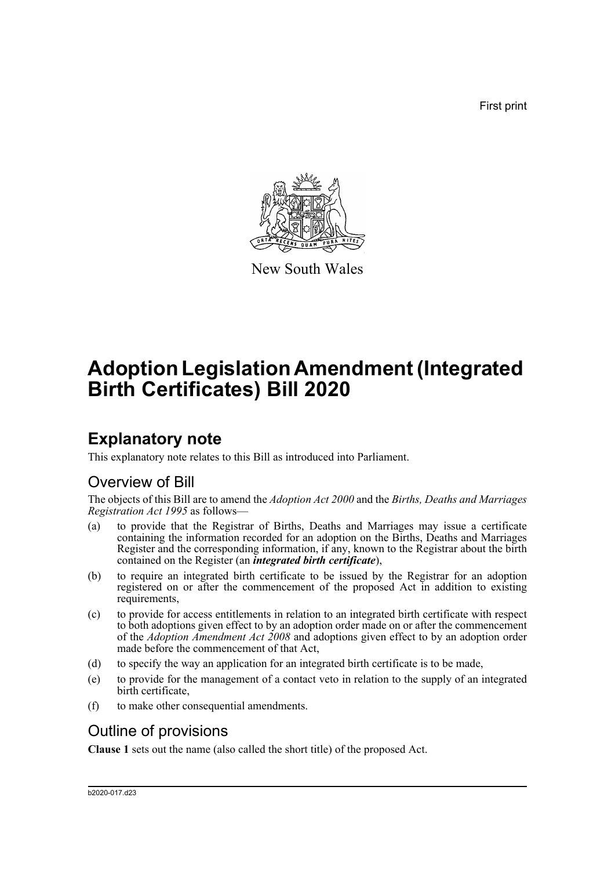First print



New South Wales

# **Adoption Legislation Amendment (Integrated Birth Certificates) Bill 2020**

## **Explanatory note**

This explanatory note relates to this Bill as introduced into Parliament.

## Overview of Bill

The objects of this Bill are to amend the *Adoption Act 2000* and the *Births, Deaths and Marriages Registration Act 1995* as follows—

- (a) to provide that the Registrar of Births, Deaths and Marriages may issue a certificate containing the information recorded for an adoption on the Births, Deaths and Marriages Register and the corresponding information, if any, known to the Registrar about the birth contained on the Register (an *integrated birth certificate*),
- (b) to require an integrated birth certificate to be issued by the Registrar for an adoption registered on or after the commencement of the proposed Act in addition to existing requirements,
- (c) to provide for access entitlements in relation to an integrated birth certificate with respect to both adoptions given effect to by an adoption order made on or after the commencement of the *Adoption Amendment Act 2008* and adoptions given effect to by an adoption order made before the commencement of that Act,
- (d) to specify the way an application for an integrated birth certificate is to be made,
- (e) to provide for the management of a contact veto in relation to the supply of an integrated birth certificate,
- (f) to make other consequential amendments.

## Outline of provisions

**Clause 1** sets out the name (also called the short title) of the proposed Act.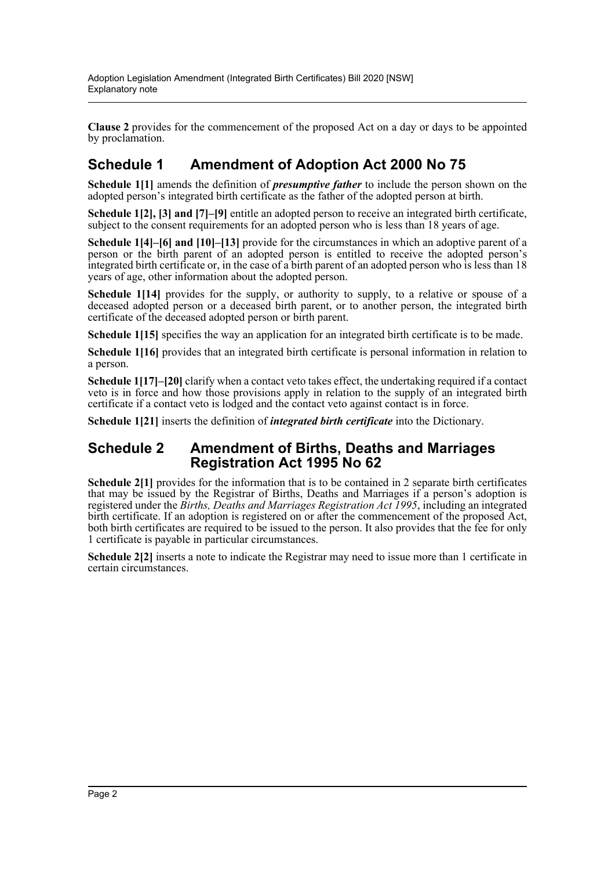**Clause 2** provides for the commencement of the proposed Act on a day or days to be appointed by proclamation.

### **Schedule 1 Amendment of Adoption Act 2000 No 75**

**Schedule 1[1]** amends the definition of *presumptive father* to include the person shown on the adopted person's integrated birth certificate as the father of the adopted person at birth.

**Schedule 1[2], [3] and [7]–[9]** entitle an adopted person to receive an integrated birth certificate, subject to the consent requirements for an adopted person who is less than 18 years of age.

**Schedule 1[4]–[6] and [10]–[13]** provide for the circumstances in which an adoptive parent of a person or the birth parent of an adopted person is entitled to receive the adopted person's integrated birth certificate or, in the case of a birth parent of an adopted person who is less than 18 years of age, other information about the adopted person.

**Schedule 1[14]** provides for the supply, or authority to supply, to a relative or spouse of a deceased adopted person or a deceased birth parent, or to another person, the integrated birth certificate of the deceased adopted person or birth parent.

**Schedule 1[15]** specifies the way an application for an integrated birth certificate is to be made.

**Schedule 1[16]** provides that an integrated birth certificate is personal information in relation to a person.

**Schedule 1[17]–[20]** clarify when a contact veto takes effect, the undertaking required if a contact veto is in force and how those provisions apply in relation to the supply of an integrated birth certificate if a contact veto is lodged and the contact veto against contact is in force.

**Schedule 1[21]** inserts the definition of *integrated birth certificate* into the Dictionary.

### **Schedule 2 Amendment of Births, Deaths and Marriages Registration Act 1995 No 62**

**Schedule 2[1]** provides for the information that is to be contained in 2 separate birth certificates that may be issued by the Registrar of Births, Deaths and Marriages if a person's adoption is registered under the *Births, Deaths and Marriages Registration Act 1995*, including an integrated birth certificate. If an adoption is registered on or after the commencement of the proposed Act, both birth certificates are required to be issued to the person. It also provides that the fee for only 1 certificate is payable in particular circumstances.

**Schedule 2[2]** inserts a note to indicate the Registrar may need to issue more than 1 certificate in certain circumstances.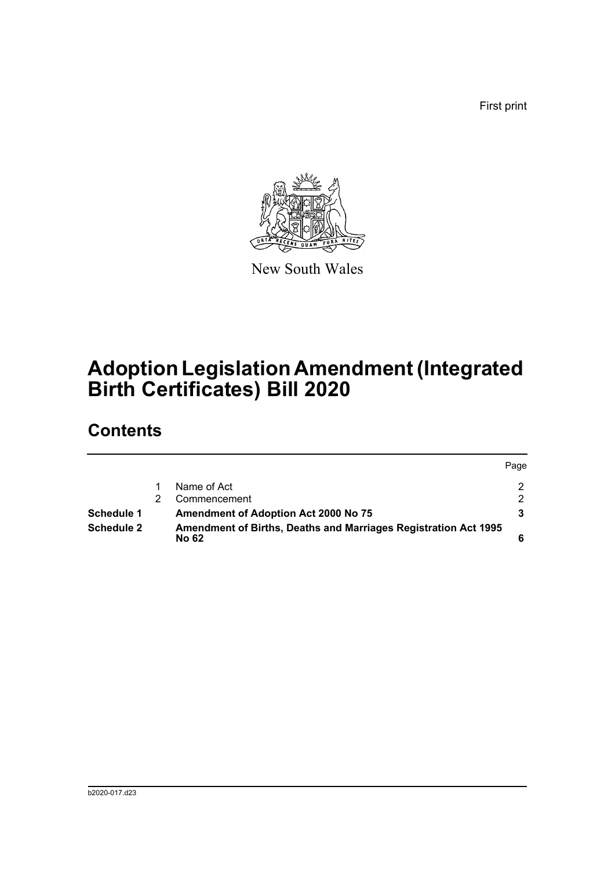First print



New South Wales

# **Adoption Legislation Amendment (Integrated Birth Certificates) Bill 2020**

## **Contents**

|                   |  |                                                                                        | Page          |
|-------------------|--|----------------------------------------------------------------------------------------|---------------|
|                   |  | Name of Act                                                                            | 2.            |
|                   |  | Commencement                                                                           | $\mathcal{P}$ |
| Schedule 1        |  | <b>Amendment of Adoption Act 2000 No 75</b>                                            |               |
| <b>Schedule 2</b> |  | <b>Amendment of Births, Deaths and Marriages Registration Act 1995</b><br><b>No 62</b> |               |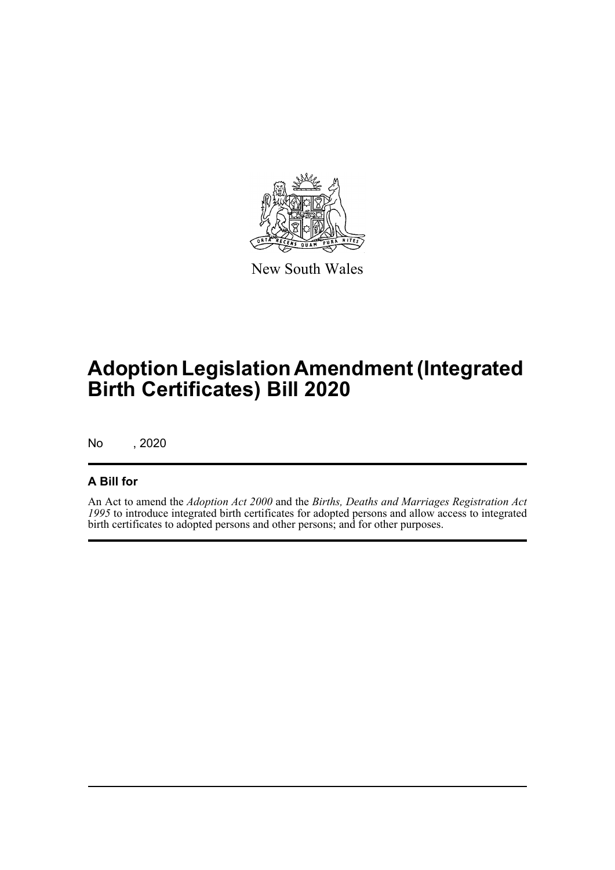

New South Wales

# **Adoption Legislation Amendment (Integrated Birth Certificates) Bill 2020**

No , 2020

### **A Bill for**

An Act to amend the *Adoption Act 2000* and the *Births, Deaths and Marriages Registration Act 1995* to introduce integrated birth certificates for adopted persons and allow access to integrated birth certificates to adopted persons and other persons; and for other purposes.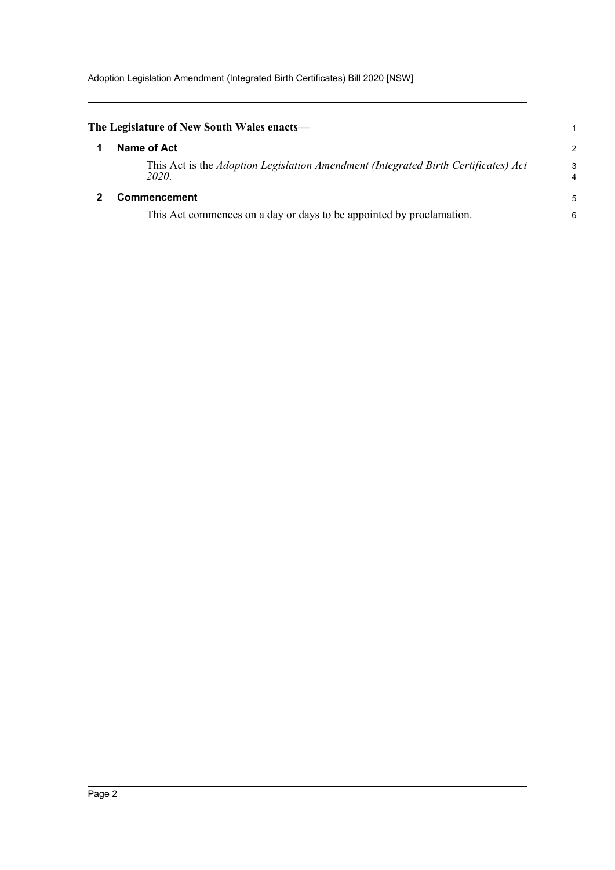<span id="page-4-1"></span><span id="page-4-0"></span>

| The Legislature of New South Wales enacts—                                                  |        |
|---------------------------------------------------------------------------------------------|--------|
| Name of Act                                                                                 | 2      |
| This Act is the Adoption Legislation Amendment (Integrated Birth Certificates) Act<br>2020. | 3<br>4 |
| <b>Commencement</b>                                                                         | 5      |
| This Act commences on a day or days to be appointed by proclamation.                        | 6      |
|                                                                                             |        |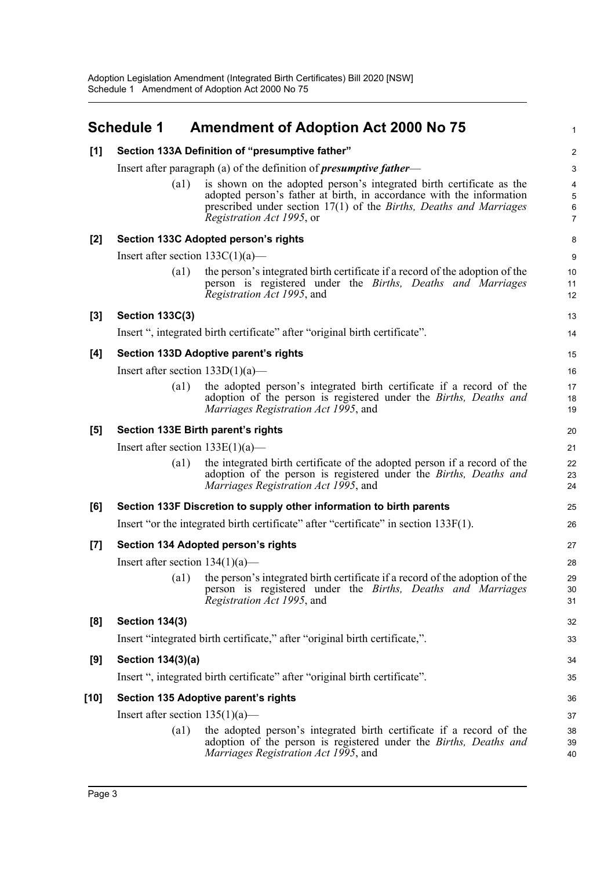<span id="page-5-0"></span>

|       | <b>Schedule 1</b>                                                                    | <b>Amendment of Adoption Act 2000 No 75</b>                                                                                                                                                                                                             | 1                |  |  |  |  |
|-------|--------------------------------------------------------------------------------------|---------------------------------------------------------------------------------------------------------------------------------------------------------------------------------------------------------------------------------------------------------|------------------|--|--|--|--|
| [1]   | Section 133A Definition of "presumptive father"                                      |                                                                                                                                                                                                                                                         |                  |  |  |  |  |
|       | Insert after paragraph (a) of the definition of <i>presumptive father</i> —          |                                                                                                                                                                                                                                                         |                  |  |  |  |  |
|       | $\left( a1\right)$                                                                   | is shown on the adopted person's integrated birth certificate as the<br>adopted person's father at birth, in accordance with the information<br>prescribed under section 17(1) of the Births, Deaths and Marriages<br><i>Registration Act 1995</i> , or | 4<br>5<br>6<br>7 |  |  |  |  |
| $[2]$ |                                                                                      | Section 133C Adopted person's rights                                                                                                                                                                                                                    | 8                |  |  |  |  |
|       | Insert after section $133C(1)(a)$ —                                                  |                                                                                                                                                                                                                                                         |                  |  |  |  |  |
|       | (a1)                                                                                 | the person's integrated birth certificate if a record of the adoption of the<br>person is registered under the Births, Deaths and Marriages<br>Registration Act 1995, and                                                                               | 10<br>11<br>12   |  |  |  |  |
| $[3]$ | <b>Section 133C(3)</b>                                                               |                                                                                                                                                                                                                                                         | 13               |  |  |  |  |
|       |                                                                                      | Insert ", integrated birth certificate" after "original birth certificate".                                                                                                                                                                             | 14               |  |  |  |  |
| [4]   |                                                                                      | Section 133D Adoptive parent's rights                                                                                                                                                                                                                   | 15               |  |  |  |  |
|       | Insert after section $133D(1)(a)$ —                                                  |                                                                                                                                                                                                                                                         | 16               |  |  |  |  |
|       | $\left( a1\right)$                                                                   | the adopted person's integrated birth certificate if a record of the<br>adoption of the person is registered under the Births, Deaths and<br>Marriages Registration Act 1995, and                                                                       | 17<br>18<br>19   |  |  |  |  |
| [5]   |                                                                                      | Section 133E Birth parent's rights                                                                                                                                                                                                                      | 20               |  |  |  |  |
|       | Insert after section $133E(1)(a)$ —                                                  |                                                                                                                                                                                                                                                         | 21               |  |  |  |  |
|       | $\left( a1\right)$                                                                   | the integrated birth certificate of the adopted person if a record of the<br>adoption of the person is registered under the Births, Deaths and<br>Marriages Registration Act 1995, and                                                                  | 22<br>23<br>24   |  |  |  |  |
| [6]   |                                                                                      | Section 133F Discretion to supply other information to birth parents                                                                                                                                                                                    | 25               |  |  |  |  |
|       | Insert "or the integrated birth certificate" after "certificate" in section 133F(1). |                                                                                                                                                                                                                                                         |                  |  |  |  |  |
| $[7]$ |                                                                                      | Section 134 Adopted person's rights                                                                                                                                                                                                                     | 27               |  |  |  |  |
|       | Insert after section $134(1)(a)$ —                                                   |                                                                                                                                                                                                                                                         | 28               |  |  |  |  |
|       |                                                                                      | (a1) the person's integrated birth certificate if a record of the adoption of the<br>person is registered under the Births, Deaths and Marriages<br>Registration Act 1995, and                                                                          | 29<br>30<br>31   |  |  |  |  |
| [8]   | <b>Section 134(3)</b>                                                                |                                                                                                                                                                                                                                                         | 32               |  |  |  |  |
|       |                                                                                      | Insert "integrated birth certificate," after "original birth certificate,".                                                                                                                                                                             | 33               |  |  |  |  |
| [9]   | <b>Section 134(3)(a)</b>                                                             |                                                                                                                                                                                                                                                         | 34               |  |  |  |  |
|       |                                                                                      | Insert ", integrated birth certificate" after "original birth certificate".                                                                                                                                                                             | 35               |  |  |  |  |
| [10]  | Section 135 Adoptive parent's rights                                                 |                                                                                                                                                                                                                                                         |                  |  |  |  |  |
|       | Insert after section $135(1)(a)$ —                                                   |                                                                                                                                                                                                                                                         |                  |  |  |  |  |
|       | $\left( a1\right)$                                                                   | the adopted person's integrated birth certificate if a record of the<br>adoption of the person is registered under the Births, Deaths and<br>Marriages Registration Act 1995, and                                                                       | 38<br>39<br>40   |  |  |  |  |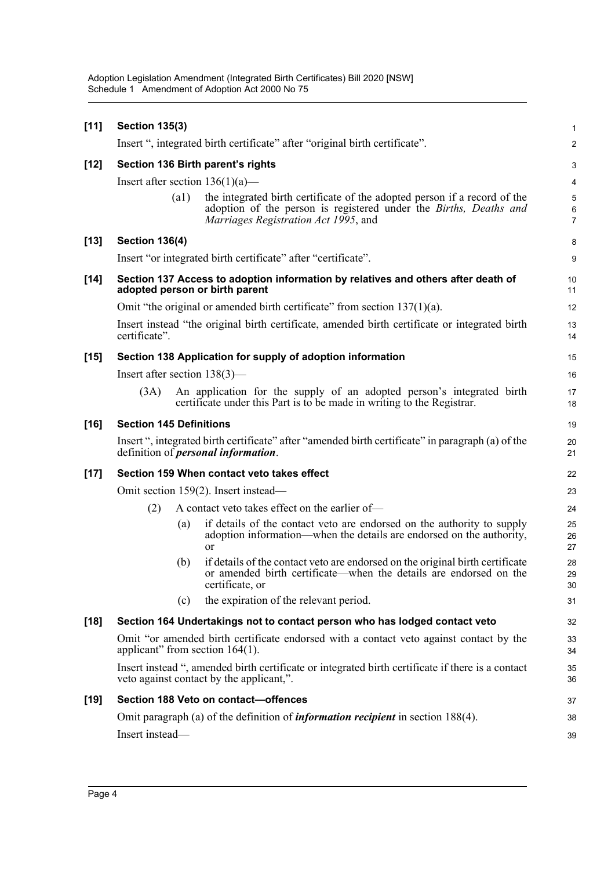| $[11]$ | <b>Section 135(3)</b>                                                                                                                            |      |                                                                                                                                                                                        | $\mathbf{1}$             |  |  |  |
|--------|--------------------------------------------------------------------------------------------------------------------------------------------------|------|----------------------------------------------------------------------------------------------------------------------------------------------------------------------------------------|--------------------------|--|--|--|
|        | Insert ", integrated birth certificate" after "original birth certificate".                                                                      |      |                                                                                                                                                                                        |                          |  |  |  |
| $[12]$ | Section 136 Birth parent's rights                                                                                                                |      |                                                                                                                                                                                        |                          |  |  |  |
|        | Insert after section $136(1)(a)$ —                                                                                                               |      |                                                                                                                                                                                        |                          |  |  |  |
|        |                                                                                                                                                  | (a1) | the integrated birth certificate of the adopted person if a record of the<br>adoption of the person is registered under the Births, Deaths and<br>Marriages Registration Act 1995, and | 5<br>6<br>$\overline{7}$ |  |  |  |
| $[13]$ | <b>Section 136(4)</b>                                                                                                                            |      |                                                                                                                                                                                        | 8                        |  |  |  |
|        | Insert "or integrated birth certificate" after "certificate".                                                                                    |      |                                                                                                                                                                                        |                          |  |  |  |
| $[14]$ | Section 137 Access to adoption information by relatives and others after death of<br>adopted person or birth parent                              |      |                                                                                                                                                                                        |                          |  |  |  |
|        | Omit "the original or amended birth certificate" from section $137(1)(a)$ .                                                                      |      |                                                                                                                                                                                        |                          |  |  |  |
|        | Insert instead "the original birth certificate, amended birth certificate or integrated birth<br>certificate".                                   |      |                                                                                                                                                                                        |                          |  |  |  |
| $[15]$ |                                                                                                                                                  |      | Section 138 Application for supply of adoption information                                                                                                                             | 15                       |  |  |  |
|        | Insert after section $138(3)$ —                                                                                                                  |      |                                                                                                                                                                                        | 16                       |  |  |  |
|        | (3A)                                                                                                                                             |      | An application for the supply of an adopted person's integrated birth<br>certificate under this Part is to be made in writing to the Registrar.                                        | 17<br>18                 |  |  |  |
| $[16]$ | <b>Section 145 Definitions</b>                                                                                                                   |      |                                                                                                                                                                                        | 19                       |  |  |  |
|        | Insert ", integrated birth certificate" after "amended birth certificate" in paragraph (a) of the<br>definition of <i>personal information</i> . |      |                                                                                                                                                                                        |                          |  |  |  |
| $[17]$ | Section 159 When contact veto takes effect                                                                                                       |      |                                                                                                                                                                                        |                          |  |  |  |
|        | Omit section 159(2). Insert instead—                                                                                                             |      |                                                                                                                                                                                        |                          |  |  |  |
|        | (2)                                                                                                                                              |      | A contact veto takes effect on the earlier of-                                                                                                                                         | 24                       |  |  |  |
|        |                                                                                                                                                  | (a)  | if details of the contact veto are endorsed on the authority to supply<br>adoption information—when the details are endorsed on the authority,<br>or                                   | 25<br>26<br>27           |  |  |  |
|        |                                                                                                                                                  | (b)  | if details of the contact veto are endorsed on the original birth certificate<br>or amended birth certificate—when the details are endorsed on the<br>certificate, or                  | 28<br>29<br>30           |  |  |  |
|        |                                                                                                                                                  | (c)  | the expiration of the relevant period.                                                                                                                                                 | 31                       |  |  |  |
| $[18]$ | Section 164 Undertakings not to contact person who has lodged contact veto                                                                       |      |                                                                                                                                                                                        |                          |  |  |  |
|        | Omit "or amended birth certificate endorsed with a contact veto against contact by the<br>applicant" from section $164(1)$ .                     |      |                                                                                                                                                                                        |                          |  |  |  |
|        | Insert instead ", amended birth certificate or integrated birth certificate if there is a contact<br>veto against contact by the applicant,".    |      |                                                                                                                                                                                        |                          |  |  |  |
| $[19]$ | Section 188 Veto on contact-offences                                                                                                             |      |                                                                                                                                                                                        |                          |  |  |  |
|        | Omit paragraph (a) of the definition of <i>information recipient</i> in section 188(4).                                                          |      |                                                                                                                                                                                        |                          |  |  |  |
|        | Insert instead-                                                                                                                                  |      |                                                                                                                                                                                        | 39                       |  |  |  |
|        |                                                                                                                                                  |      |                                                                                                                                                                                        |                          |  |  |  |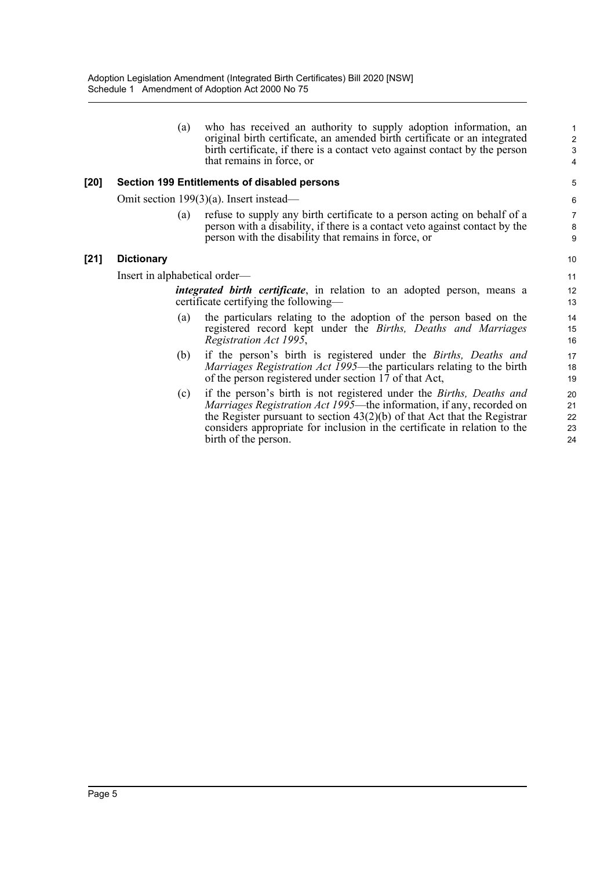(a) who has received an authority to supply adoption information, an original birth certificate, an amended birth certificate or an integrated birth certificate, if there is a contact veto against contact by the person that remains in force, or

#### **[20] Section 199 Entitlements of disabled persons**

Omit section 199(3)(a). Insert instead—

(a) refuse to supply any birth certificate to a person acting on behalf of a person with a disability, if there is a contact veto against contact by the person with the disability that remains in force, or

#### **[21] Dictionary**

Insert in alphabetical order—

*integrated birth certificate*, in relation to an adopted person, means a certificate certifying the following—

- (a) the particulars relating to the adoption of the person based on the registered record kept under the *Births, Deaths and Marriages Registration Act 1995*,
- (b) if the person's birth is registered under the *Births, Deaths and Marriages Registration Act 1995*—the particulars relating to the birth of the person registered under section 17 of that Act,
- (c) if the person's birth is not registered under the *Births, Deaths and Marriages Registration Act 1995*—the information, if any, recorded on the Register pursuant to section  $43(2)(b)$  of that Act that the Registrar considers appropriate for inclusion in the certificate in relation to the birth of the person.